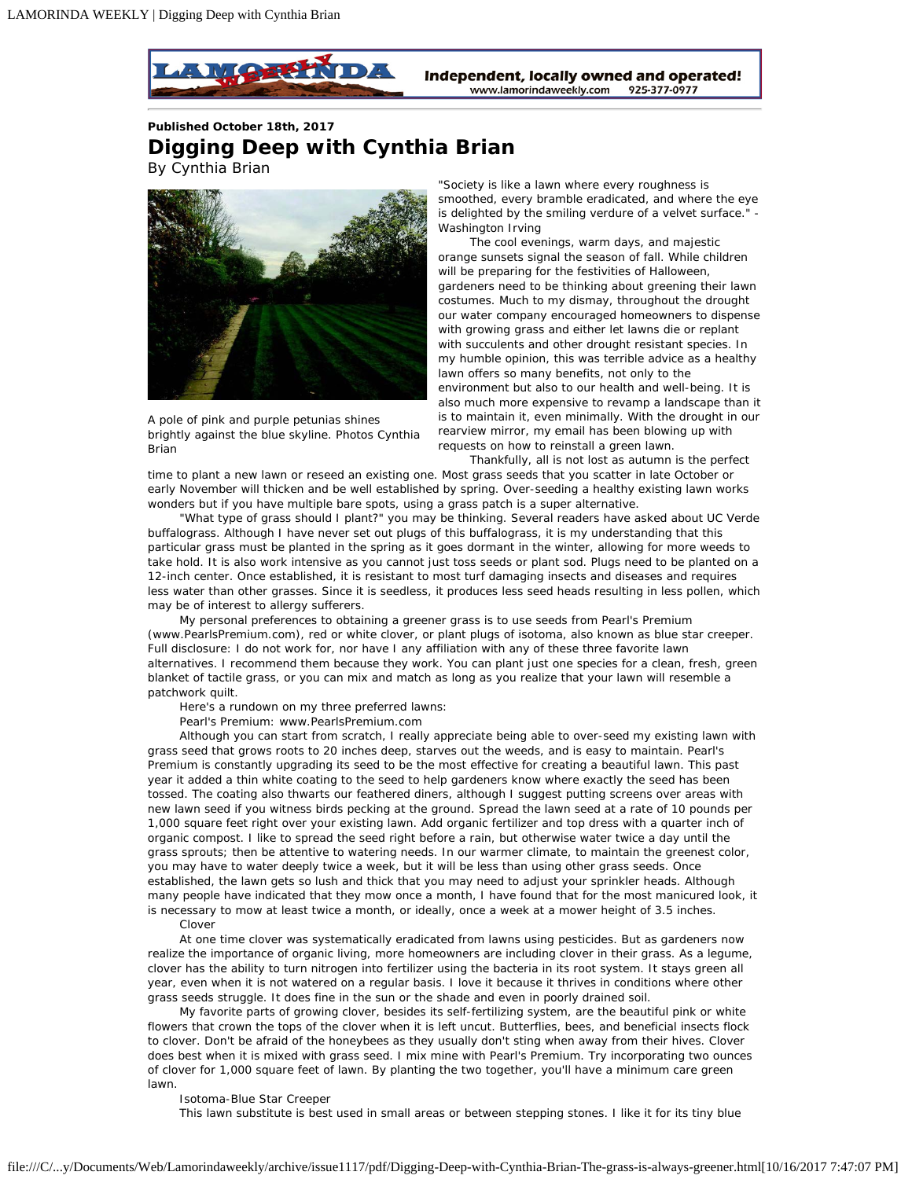

## **Published October 18th, 2017 Digging Deep with Cynthia Brian** *By Cynthia Brian*



A pole of pink and purple petunias shines brightly against the blue skyline. Photos Cynthia Brian

"Society is like a lawn where every roughness is smoothed, every bramble eradicated, and where the eye is delighted by the smiling verdure of a velvet surface." - Washington Irving

The cool evenings, warm days, and majestic orange sunsets signal the season of fall. While children will be preparing for the festivities of Halloween, gardeners need to be thinking about greening their lawn costumes. Much to my dismay, throughout the drought our water company encouraged homeowners to dispense with growing grass and either let lawns die or replant with succulents and other drought resistant species. In my humble opinion, this was terrible advice as a healthy lawn offers so many benefits, not only to the environment but also to our health and well-being. It is also much more expensive to revamp a landscape than it is to maintain it, even minimally. With the drought in our rearview mirror, my email has been blowing up with requests on how to reinstall a green lawn.

Thankfully, all is not lost as autumn is the perfect

time to plant a new lawn or reseed an existing one. Most grass seeds that you scatter in late October or early November will thicken and be well established by spring. Over-seeding a healthy existing lawn works wonders but if you have multiple bare spots, using a grass patch is a super alternative.

"What type of grass should I plant?" you may be thinking. Several readers have asked about UC Verde buffalograss. Although I have never set out plugs of this buffalograss, it is my understanding that this particular grass must be planted in the spring as it goes dormant in the winter, allowing for more weeds to take hold. It is also work intensive as you cannot just toss seeds or plant sod. Plugs need to be planted on a 12-inch center. Once established, it is resistant to most turf damaging insects and diseases and requires less water than other grasses. Since it is seedless, it produces less seed heads resulting in less pollen, which may be of interest to allergy sufferers.

My personal preferences to obtaining a greener grass is to use seeds from Pearl's Premium (www.PearlsPremium.com), red or white clover, or plant plugs of isotoma, also known as blue star creeper. Full disclosure: I do not work for, nor have I any affiliation with any of these three favorite lawn alternatives. I recommend them because they work. You can plant just one species for a clean, fresh, green blanket of tactile grass, or you can mix and match as long as you realize that your lawn will resemble a patchwork quilt.

Here's a rundown on my three preferred lawns:

Pearl's Premium: www.PearlsPremium.com

Although you can start from scratch, I really appreciate being able to over-seed my existing lawn with grass seed that grows roots to 20 inches deep, starves out the weeds, and is easy to maintain. Pearl's Premium is constantly upgrading its seed to be the most effective for creating a beautiful lawn. This past year it added a thin white coating to the seed to help gardeners know where exactly the seed has been tossed. The coating also thwarts our feathered diners, although I suggest putting screens over areas with new lawn seed if you witness birds pecking at the ground. Spread the lawn seed at a rate of 10 pounds per 1,000 square feet right over your existing lawn. Add organic fertilizer and top dress with a quarter inch of organic compost. I like to spread the seed right before a rain, but otherwise water twice a day until the grass sprouts; then be attentive to watering needs. In our warmer climate, to maintain the greenest color, you may have to water deeply twice a week, but it will be less than using other grass seeds. Once established, the lawn gets so lush and thick that you may need to adjust your sprinkler heads. Although many people have indicated that they mow once a month, I have found that for the most manicured look, it is necessary to mow at least twice a month, or ideally, once a week at a mower height of 3.5 inches.

Clover

At one time clover was systematically eradicated from lawns using pesticides. But as gardeners now realize the importance of organic living, more homeowners are including clover in their grass. As a legume, clover has the ability to turn nitrogen into fertilizer using the bacteria in its root system. It stays green all year, even when it is not watered on a regular basis. I love it because it thrives in conditions where other grass seeds struggle. It does fine in the sun or the shade and even in poorly drained soil.

My favorite parts of growing clover, besides its self-fertilizing system, are the beautiful pink or white flowers that crown the tops of the clover when it is left uncut. Butterflies, bees, and beneficial insects flock to clover. Don't be afraid of the honeybees as they usually don't sting when away from their hives. Clover does best when it is mixed with grass seed. I mix mine with Pearl's Premium. Try incorporating two ounces of clover for 1,000 square feet of lawn. By planting the two together, you'll have a minimum care green lawn.

## Isotoma-Blue Star Creeper

This lawn substitute is best used in small areas or between stepping stones. I like it for its tiny blue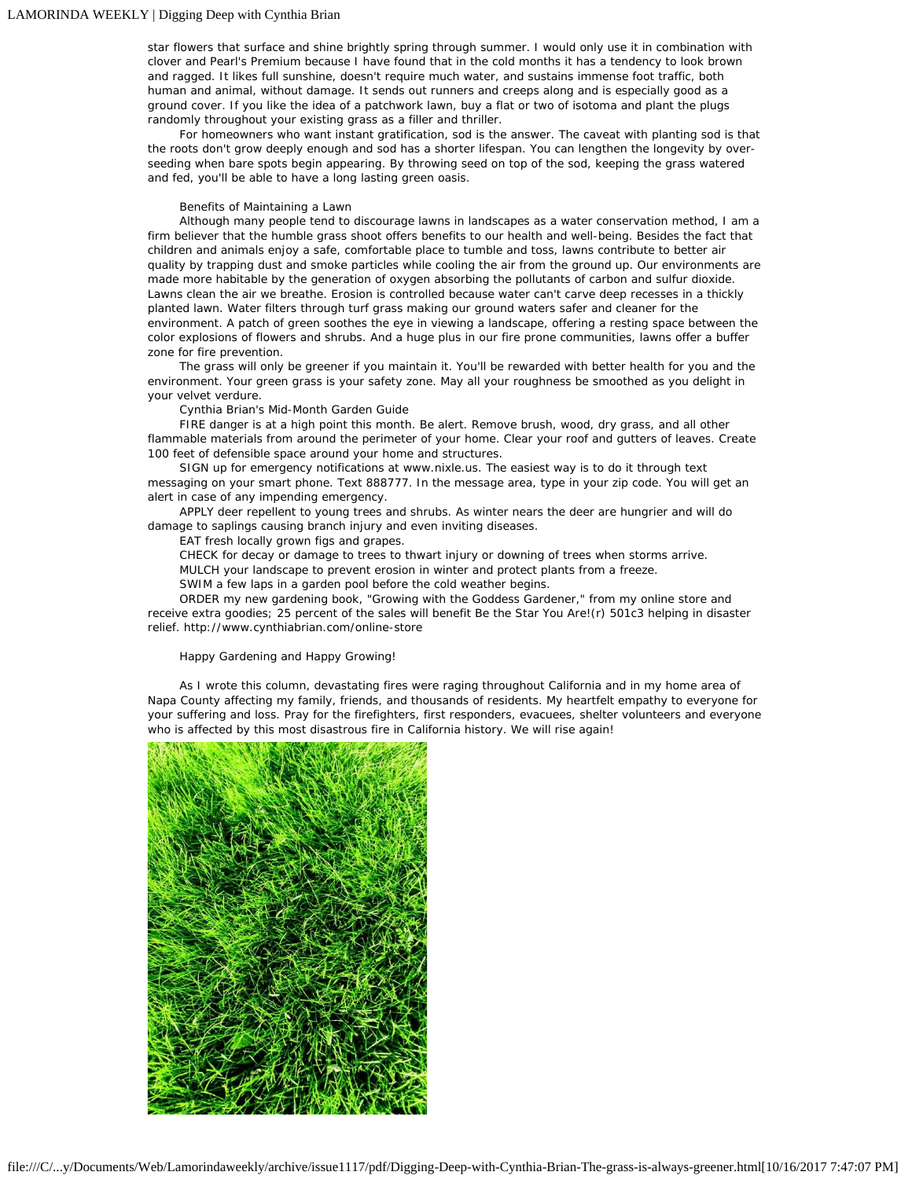star flowers that surface and shine brightly spring through summer. I would only use it in combination with clover and Pearl's Premium because I have found that in the cold months it has a tendency to look brown and ragged. It likes full sunshine, doesn't require much water, and sustains immense foot traffic, both human and animal, without damage. It sends out runners and creeps along and is especially good as a ground cover. If you like the idea of a patchwork lawn, buy a flat or two of isotoma and plant the plugs randomly throughout your existing grass as a filler and thriller.

For homeowners who want instant gratification, sod is the answer. The caveat with planting sod is that the roots don't grow deeply enough and sod has a shorter lifespan. You can lengthen the longevity by overseeding when bare spots begin appearing. By throwing seed on top of the sod, keeping the grass watered and fed, you'll be able to have a long lasting green oasis.

## Benefits of Maintaining a Lawn

Although many people tend to discourage lawns in landscapes as a water conservation method, I am a firm believer that the humble grass shoot offers benefits to our health and well-being. Besides the fact that children and animals enjoy a safe, comfortable place to tumble and toss, lawns contribute to better air quality by trapping dust and smoke particles while cooling the air from the ground up. Our environments are made more habitable by the generation of oxygen absorbing the pollutants of carbon and sulfur dioxide. Lawns clean the air we breathe. Erosion is controlled because water can't carve deep recesses in a thickly planted lawn. Water filters through turf grass making our ground waters safer and cleaner for the environment. A patch of green soothes the eye in viewing a landscape, offering a resting space between the color explosions of flowers and shrubs. And a huge plus in our fire prone communities, lawns offer a buffer zone for fire prevention.

The grass will only be greener if you maintain it. You'll be rewarded with better health for you and the environment. Your green grass is your safety zone. May all your roughness be smoothed as you delight in your velvet verdure.

Cynthia Brian's Mid-Month Garden Guide

FIRE danger is at a high point this month. Be alert. Remove brush, wood, dry grass, and all other flammable materials from around the perimeter of your home. Clear your roof and gutters of leaves. Create 100 feet of defensible space around your home and structures.

SIGN up for emergency notifications at www.nixle.us. The easiest way is to do it through text messaging on your smart phone. Text 888777. In the message area, type in your zip code. You will get an alert in case of any impending emergency.

APPLY deer repellent to young trees and shrubs. As winter nears the deer are hungrier and will do damage to saplings causing branch injury and even inviting diseases.

EAT fresh locally grown figs and grapes.

CHECK for decay or damage to trees to thwart injury or downing of trees when storms arrive.

MULCH your landscape to prevent erosion in winter and protect plants from a freeze.

SWIM a few laps in a garden pool before the cold weather begins.

ORDER my new gardening book, "Growing with the Goddess Gardener," from my online store and receive extra goodies; 25 percent of the sales will benefit Be the Star You Are!(r) 501c3 helping in disaster relief. http://www.cynthiabrian.com/online-store

Happy Gardening and Happy Growing!

As I wrote this column, devastating fires were raging throughout California and in my home area of Napa County affecting my family, friends, and thousands of residents. My heartfelt empathy to everyone for your suffering and loss. Pray for the firefighters, first responders, evacuees, shelter volunteers and everyone who is affected by this most disastrous fire in California history. We will rise again!

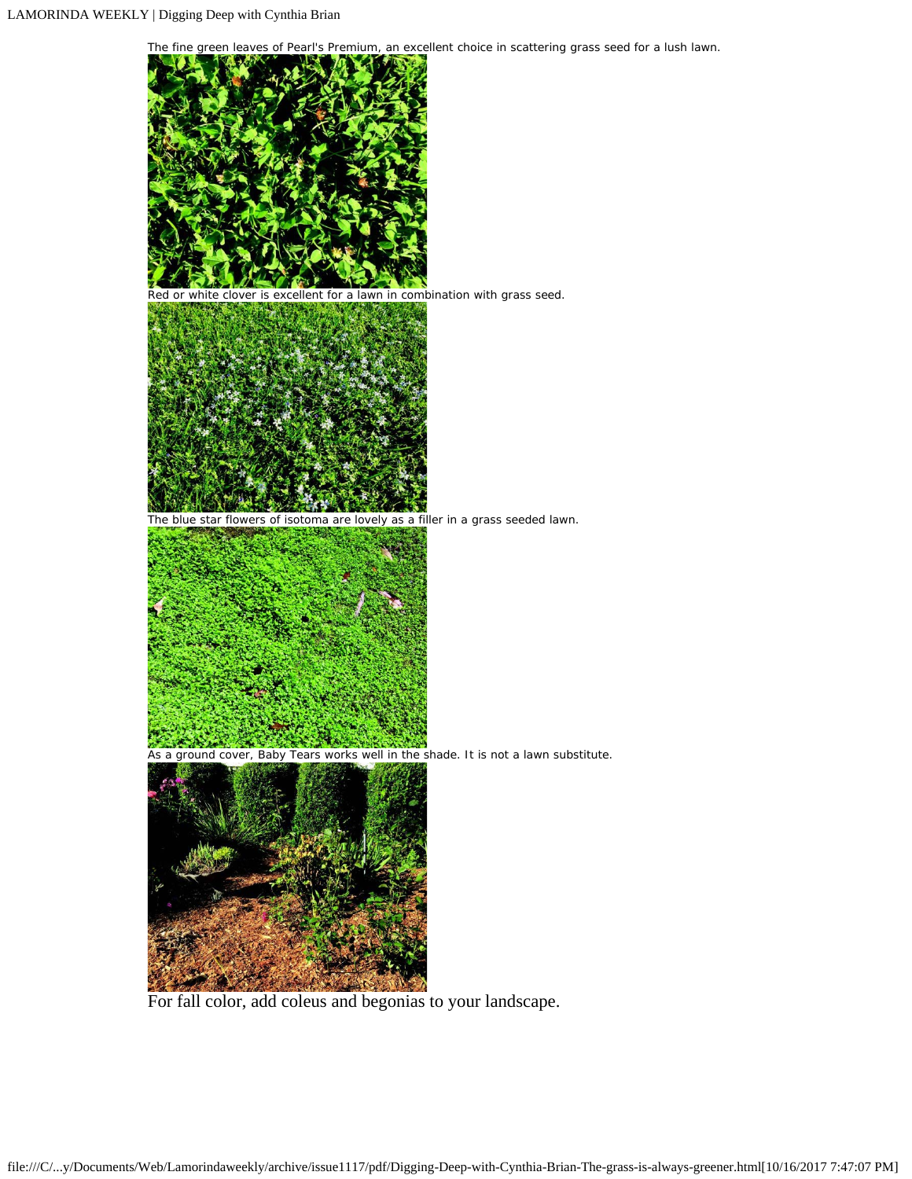LAMORINDA WEEKLY | Digging Deep with Cynthia Brian

The fine green leaves of Pearl's Premium, an excellent choice in scattering grass seed for a lush lawn.



For fall color, add coleus and begonias to your landscape.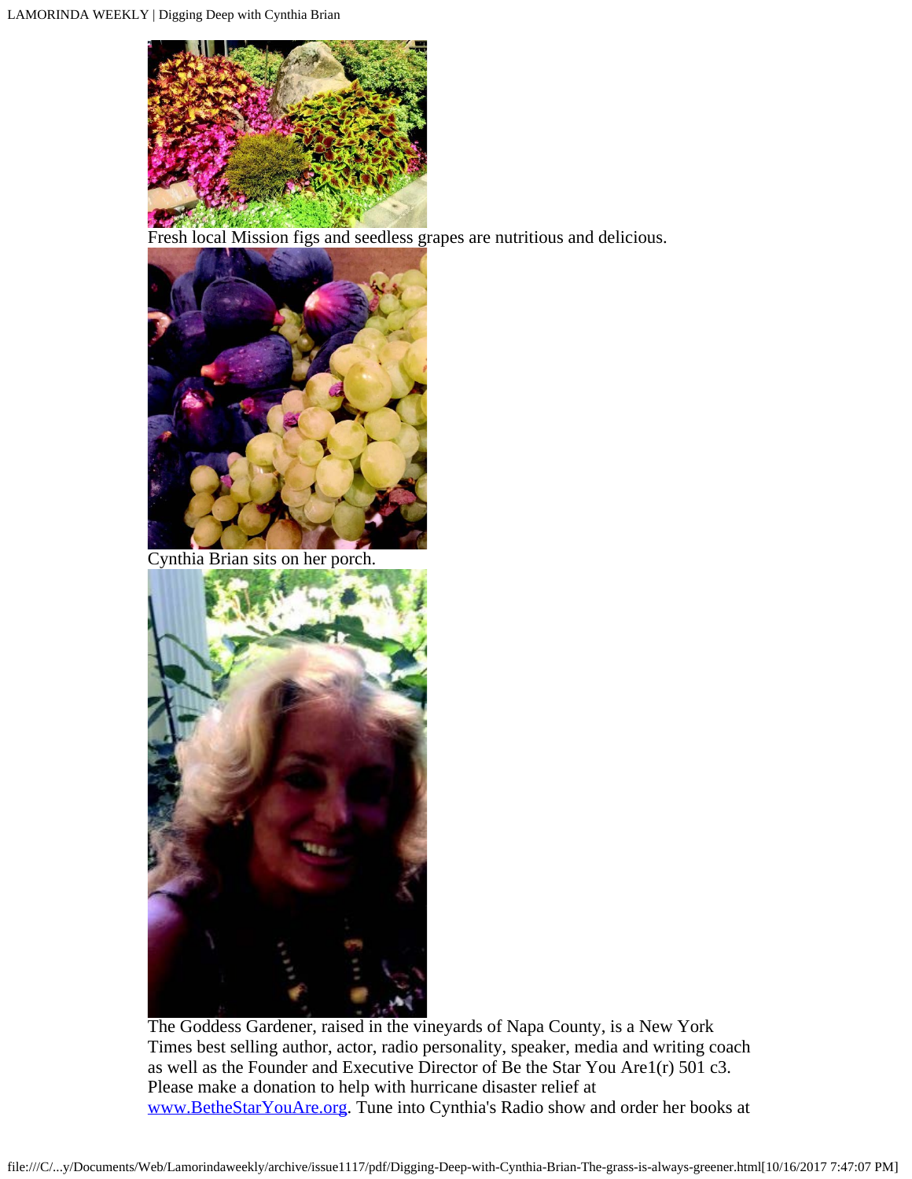

Fresh local Mission figs and seedless grapes are nutritious and delicious.



Cynthia Brian sits on her porch.



The Goddess Gardener, raised in the vineyards of Napa County, is a New York Times best selling author, actor, radio personality, speaker, media and writing coach as well as the Founder and Executive Director of Be the Star You Are1(r) 501 c3. Please make a donation to help with hurricane disaster relief at [www.BetheStarYouAre.org](http://www.bethestaryouare.org/). Tune into Cynthia's Radio show and order her books at